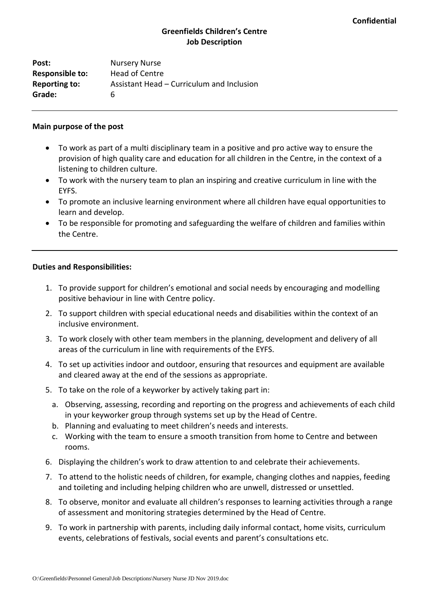# **Greenfields Children's Centre Job Description**

Post: Nursery Nurse **Responsible to:** Head of Centre **Reporting to:** Assistant Head – Curriculum and Inclusion **Grade:** 6

#### **Main purpose of the post**

- To work as part of a multi disciplinary team in a positive and pro active way to ensure the provision of high quality care and education for all children in the Centre, in the context of a listening to children culture.
- To work with the nursery team to plan an inspiring and creative curriculum in line with the EYFS.
- To promote an inclusive learning environment where all children have equal opportunities to learn and develop.
- To be responsible for promoting and safeguarding the welfare of children and families within the Centre.

#### **Duties and Responsibilities:**

- 1. To provide support for children's emotional and social needs by encouraging and modelling positive behaviour in line with Centre policy.
- 2. To support children with special educational needs and disabilities within the context of an inclusive environment.
- 3. To work closely with other team members in the planning, development and delivery of all areas of the curriculum in line with requirements of the EYFS.
- 4. To set up activities indoor and outdoor, ensuring that resources and equipment are available and cleared away at the end of the sessions as appropriate.
- 5. To take on the role of a keyworker by actively taking part in:
	- a. Observing, assessing, recording and reporting on the progress and achievements of each child in your keyworker group through systems set up by the Head of Centre.
	- b. Planning and evaluating to meet children's needs and interests.
	- c. Working with the team to ensure a smooth transition from home to Centre and between rooms.
- 6. Displaying the children's work to draw attention to and celebrate their achievements.
- 7. To attend to the holistic needs of children, for example, changing clothes and nappies, feeding and toileting and including helping children who are unwell, distressed or unsettled.
- 8. To observe, monitor and evaluate all children's responses to learning activities through a range of assessment and monitoring strategies determined by the Head of Centre.
- 9. To work in partnership with parents, including daily informal contact, home visits, curriculum events, celebrations of festivals, social events and parent's consultations etc.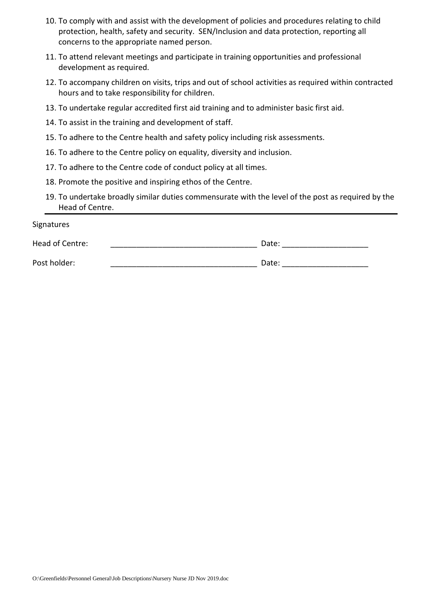- 10. To comply with and assist with the development of policies and procedures relating to child protection, health, safety and security. SEN/Inclusion and data protection, reporting all concerns to the appropriate named person.
- 11. To attend relevant meetings and participate in training opportunities and professional development as required.
- 12. To accompany children on visits, trips and out of school activities as required within contracted hours and to take responsibility for children.
- 13. To undertake regular accredited first aid training and to administer basic first aid.
- 14. To assist in the training and development of staff.
- 15. To adhere to the Centre health and safety policy including risk assessments.
- 16. To adhere to the Centre policy on equality, diversity and inclusion.
- 17. To adhere to the Centre code of conduct policy at all times.
- 18. Promote the positive and inspiring ethos of the Centre.
- 19. To undertake broadly similar duties commensurate with the level of the post as required by the Head of Centre.

Signatures Head of Centre: \_\_\_\_\_\_\_\_\_\_\_\_\_\_\_\_\_\_\_\_\_\_\_\_\_\_\_\_\_\_\_\_\_\_ Date: \_\_\_\_\_\_\_\_\_\_\_\_\_\_\_\_\_\_\_\_ Post holder: etc. and the contract of the Date: the Date:  $\Box$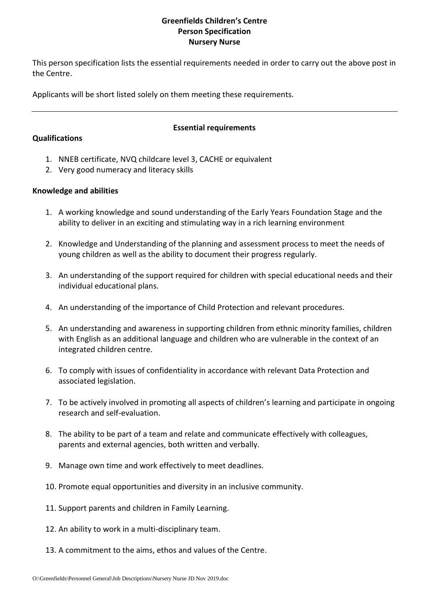## **Greenfields Children's Centre Person Specification Nursery Nurse**

This person specification lists the essential requirements needed in order to carry out the above post in the Centre.

Applicants will be short listed solely on them meeting these requirements.

## **Qualifications**

## **Essential requirements**

- 1. NNEB certificate, NVQ childcare level 3, CACHE or equivalent
- 2. Very good numeracy and literacy skills

## **Knowledge and abilities**

- 1. A working knowledge and sound understanding of the Early Years Foundation Stage and the ability to deliver in an exciting and stimulating way in a rich learning environment
- 2. Knowledge and Understanding of the planning and assessment process to meet the needs of young children as well as the ability to document their progress regularly.
- 3. An understanding of the support required for children with special educational needs and their individual educational plans.
- 4. An understanding of the importance of Child Protection and relevant procedures.
- 5. An understanding and awareness in supporting children from ethnic minority families, children with English as an additional language and children who are vulnerable in the context of an integrated children centre.
- 6. To comply with issues of confidentiality in accordance with relevant Data Protection and associated legislation.
- 7. To be actively involved in promoting all aspects of children's learning and participate in ongoing research and self-evaluation.
- 8. The ability to be part of a team and relate and communicate effectively with colleagues, parents and external agencies, both written and verbally.
- 9. Manage own time and work effectively to meet deadlines.
- 10. Promote equal opportunities and diversity in an inclusive community.
- 11. Support parents and children in Family Learning.
- 12. An ability to work in a multi-disciplinary team.
- 13. A commitment to the aims, ethos and values of the Centre.